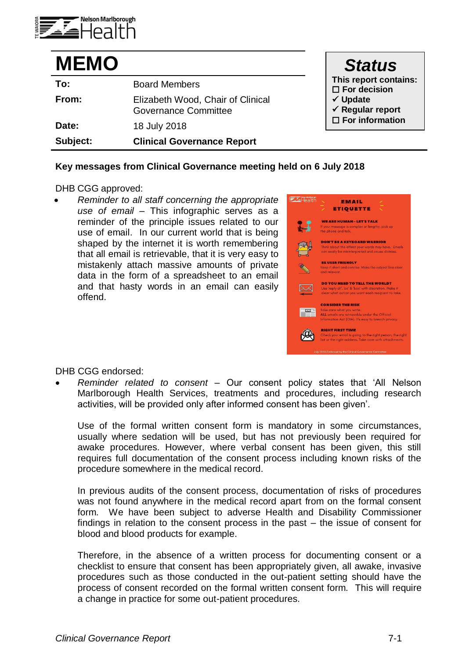

| <b>MEMO</b> |                                                                  | <b>Status</b>                                                                                                                      |
|-------------|------------------------------------------------------------------|------------------------------------------------------------------------------------------------------------------------------------|
| To:         | <b>Board Members</b>                                             | This report contains:<br>$\square$ For decision<br>$\checkmark$ Update<br>$\checkmark$ Regular report<br>$\square$ For information |
| From:       | Elizabeth Wood, Chair of Clinical<br><b>Governance Committee</b> |                                                                                                                                    |
| Date:       | 18 July 2018                                                     |                                                                                                                                    |
| Subject:    | <b>Clinical Governance Report</b>                                |                                                                                                                                    |

### **Key messages from Clinical Governance meeting held on 6 July 2018**

#### DHB CGG approved:

 *Reminder to all staff concerning the appropriate use of email –* This infographic serves as a reminder of the principle issues related to our use of email. In our current world that is being shaped by the internet it is worth remembering that all email is retrievable, that it is very easy to mistakenly attach massive amounts of private data in the form of a spreadsheet to an email and that hasty words in an email can easily offend.

| Health      | EMAIL<br><b>ETIQUETTE</b>                                                                                                                                     |  |
|-------------|---------------------------------------------------------------------------------------------------------------------------------------------------------------|--|
|             | WE ARE HUMAN - LET'S TALK<br>If your message is complex or lengthy, pick up<br>the phone and talk.                                                            |  |
|             | <b>DON'T BE A KEYBOARD WARRIOR</b><br>Think about the effect your words may have. Emails<br>can easily be misinterpreted and cause distress.                  |  |
|             | <b>BE USER FRIENDLY</b><br>Keep it short and concise. Make the subject line clear<br>and relevant.                                                            |  |
|             | <b>DO YOU NEED TO TELL THE WORLD?</b><br>Use 'reply all', 'cc' & 'bcc' with discretion. Make it<br>clear what action you want each recipient to take.         |  |
| <b>VEWS</b> | <b>CONSIDER THE RISK</b><br>Take care what you write.<br>ALL emails are retrievable under the Official<br>Information Act (OIA). It's easy to breach privacy. |  |
|             | <b><i>RICHT FIRST TIME</i></b><br>Check your email is going to the right person, the right<br>list or the right address. Take care with attachments.          |  |
|             | July 2018.Endorsed by the Clinical Governance Committee.                                                                                                      |  |

#### DHB CGG endorsed:

 *Reminder related to consent* – Our consent policy states that 'All Nelson Marlborough Health Services, treatments and procedures, including research activities, will be provided only after informed consent has been given'.

Use of the formal written consent form is mandatory in some circumstances, usually where sedation will be used, but has not previously been required for awake procedures. However, where verbal consent has been given, this still requires full documentation of the consent process including known risks of the procedure somewhere in the medical record.

In previous audits of the consent process, documentation of risks of procedures was not found anywhere in the medical record apart from on the formal consent form. We have been subject to adverse Health and Disability Commissioner findings in relation to the consent process in the past – the issue of consent for blood and blood products for example.

Therefore, in the absence of a written process for documenting consent or a checklist to ensure that consent has been appropriately given, all awake, invasive procedures such as those conducted in the out-patient setting should have the process of consent recorded on the formal written consent form. This will require a change in practice for some out-patient procedures.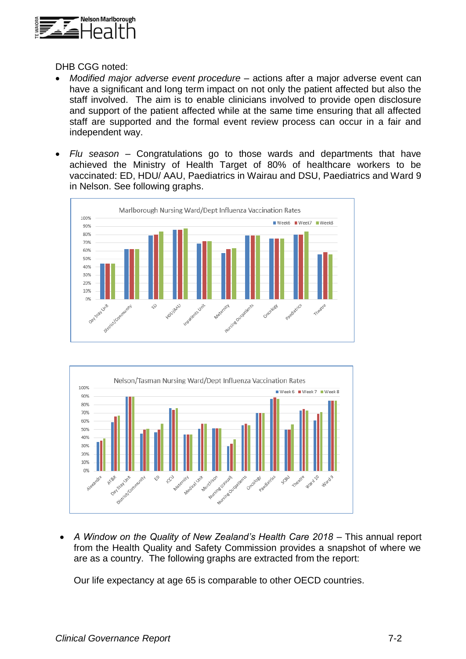

DHB CGG noted:

- *Modified major adverse event procedure –* actions after a major adverse event can have a significant and long term impact on not only the patient affected but also the staff involved. The aim is to enable clinicians involved to provide open disclosure and support of the patient affected while at the same time ensuring that all affected staff are supported and the formal event review process can occur in a fair and independent way.
- *Flu season –* Congratulations go to those wards and departments that have achieved the Ministry of Health Target of 80% of healthcare workers to be vaccinated: ED, HDU/ AAU, Paediatrics in Wairau and DSU, Paediatrics and Ward 9 in Nelson. See following graphs.





 *A Window on the Quality of New Zealand's Health Care 2018 –* This annual report from the Health Quality and Safety Commission provides a snapshot of where we are as a country. The following graphs are extracted from the report:

Our life expectancy at age 65 is comparable to other OECD countries.